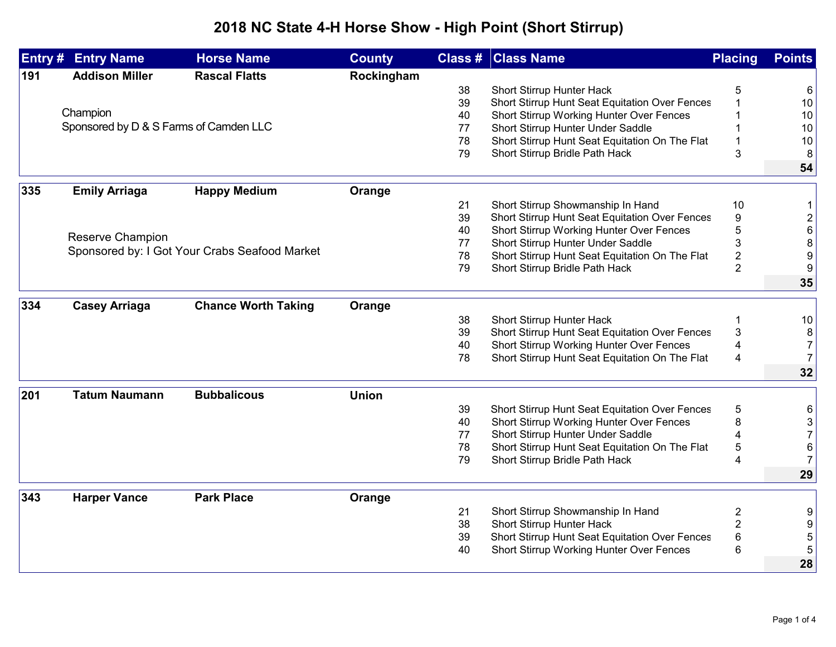## **2018 NC State 4-H Horse Show - High Point (Short Stirrup)**

| Entry# | <b>Entry Name</b>                      | <b>Horse Name</b>                             | <b>County</b> |    | <b>Class # Class Name</b>                      | <b>Placing</b>          | <b>Points</b>             |
|--------|----------------------------------------|-----------------------------------------------|---------------|----|------------------------------------------------|-------------------------|---------------------------|
| 191    | <b>Addison Miller</b>                  | <b>Rascal Flatts</b>                          | Rockingham    |    |                                                |                         |                           |
|        |                                        |                                               |               | 38 | Short Stirrup Hunter Hack                      | 5                       | 6                         |
|        |                                        |                                               |               | 39 | Short Stirrup Hunt Seat Equitation Over Fences |                         | 10                        |
|        | Champion                               |                                               |               | 40 | Short Stirrup Working Hunter Over Fences       |                         | 10                        |
|        | Sponsored by D & S Farms of Camden LLC |                                               |               | 77 | Short Stirrup Hunter Under Saddle              |                         | 10                        |
|        |                                        |                                               |               | 78 | Short Stirrup Hunt Seat Equitation On The Flat |                         | $10$                      |
|        |                                        |                                               |               | 79 | Short Stirrup Bridle Path Hack                 | 3                       | 8                         |
|        |                                        |                                               |               |    |                                                |                         | 54                        |
| 335    | <b>Emily Arriaga</b>                   | <b>Happy Medium</b>                           | Orange        |    |                                                |                         |                           |
|        |                                        |                                               |               | 21 | Short Stirrup Showmanship In Hand              | 10                      |                           |
|        |                                        |                                               |               | 39 | Short Stirrup Hunt Seat Equitation Over Fences | 9                       | $\overline{\mathbf{c}}$   |
|        | Reserve Champion                       |                                               |               | 40 | Short Stirrup Working Hunter Over Fences       | 5                       | 6                         |
|        |                                        |                                               |               | 77 | Short Stirrup Hunter Under Saddle              | 3                       | 8                         |
|        |                                        | Sponsored by: I Got Your Crabs Seafood Market |               | 78 | Short Stirrup Hunt Seat Equitation On The Flat | $\overline{c}$          | 9                         |
|        |                                        |                                               |               | 79 | Short Stirrup Bridle Path Hack                 | $\overline{2}$          | 9                         |
|        |                                        |                                               |               |    |                                                |                         | 35                        |
| 334    | <b>Casey Arriaga</b>                   | <b>Chance Worth Taking</b>                    | Orange        |    |                                                |                         |                           |
|        |                                        |                                               |               | 38 | Short Stirrup Hunter Hack                      |                         | 10                        |
|        |                                        |                                               |               | 39 | Short Stirrup Hunt Seat Equitation Over Fences | 3                       | 8                         |
|        |                                        |                                               |               | 40 | Short Stirrup Working Hunter Over Fences       | 4                       | 7                         |
|        |                                        |                                               |               | 78 | Short Stirrup Hunt Seat Equitation On The Flat | 4                       | 7 <sup>1</sup>            |
|        |                                        |                                               |               |    |                                                |                         | 32                        |
| 201    | <b>Tatum Naumann</b>                   | <b>Bubbalicous</b>                            | <b>Union</b>  |    |                                                |                         |                           |
|        |                                        |                                               |               | 39 | Short Stirrup Hunt Seat Equitation Over Fences | 5                       | 6                         |
|        |                                        |                                               |               | 40 | Short Stirrup Working Hunter Over Fences       | 8                       | $\ensuremath{\mathsf{3}}$ |
|        |                                        |                                               |               | 77 | Short Stirrup Hunter Under Saddle              |                         | 7 <sup>1</sup>            |
|        |                                        |                                               |               | 78 | Short Stirrup Hunt Seat Equitation On The Flat | 5                       | 6                         |
|        |                                        |                                               |               | 79 | Short Stirrup Bridle Path Hack                 | 4                       | 7 <sup>1</sup>            |
|        |                                        |                                               |               |    |                                                |                         | 29                        |
| 343    | <b>Harper Vance</b>                    | <b>Park Place</b>                             | Orange        |    |                                                |                         |                           |
|        |                                        |                                               |               | 21 | Short Stirrup Showmanship In Hand              | $\overline{\mathbf{c}}$ | 9                         |
|        |                                        |                                               |               | 38 | Short Stirrup Hunter Hack                      | $\overline{\mathbf{c}}$ | 9                         |
|        |                                        |                                               |               | 39 | Short Stirrup Hunt Seat Equitation Over Fences | 6                       | 5                         |
|        |                                        |                                               |               | 40 | Short Stirrup Working Hunter Over Fences       | 6                       | 5                         |
|        |                                        |                                               |               |    |                                                |                         | 28                        |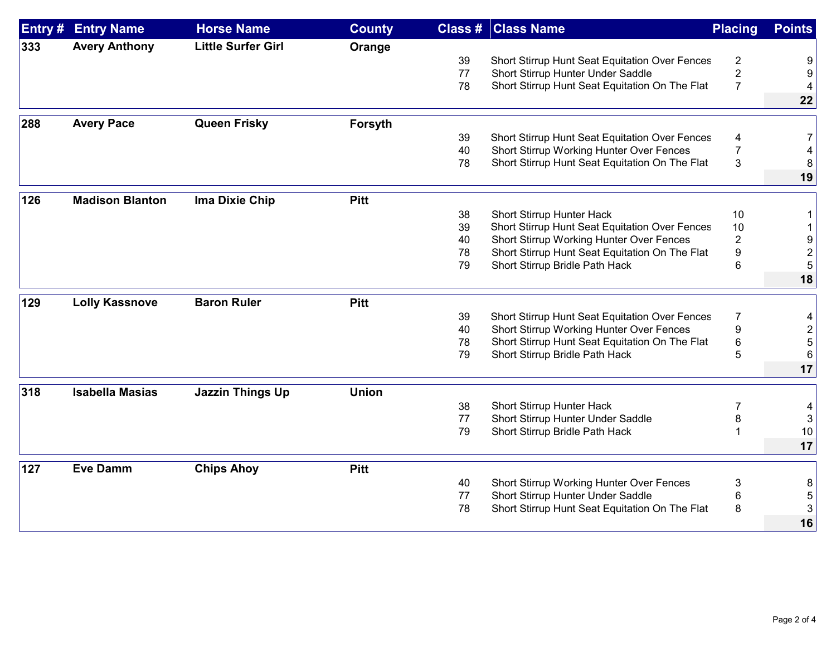| Entry # | <b>Entry Name</b>      | <b>Horse Name</b>         | <b>County</b> | Class # | <b>Class Name</b>                              | <b>Placing</b>          | <b>Points</b>  |
|---------|------------------------|---------------------------|---------------|---------|------------------------------------------------|-------------------------|----------------|
| 333     | <b>Avery Anthony</b>   | <b>Little Surfer Girl</b> | Orange        |         |                                                |                         |                |
|         |                        |                           |               | 39      | Short Stirrup Hunt Seat Equitation Over Fences | $\overline{\mathbf{c}}$ | 9              |
|         |                        |                           |               | 77      | Short Stirrup Hunter Under Saddle              | $\overline{\mathbf{c}}$ | 9              |
|         |                        |                           |               | 78      | Short Stirrup Hunt Seat Equitation On The Flat | $\overline{7}$          |                |
|         |                        |                           |               |         |                                                |                         | 22             |
| 288     | <b>Avery Pace</b>      | <b>Queen Frisky</b>       | Forsyth       |         |                                                |                         |                |
|         |                        |                           |               | 39      | Short Stirrup Hunt Seat Equitation Over Fences | 4                       | 7              |
|         |                        |                           |               | 40      | Short Stirrup Working Hunter Over Fences       | $\overline{7}$          |                |
|         |                        |                           |               | 78      | Short Stirrup Hunt Seat Equitation On The Flat | 3                       | 8              |
|         |                        |                           |               |         |                                                |                         | 19             |
| 126     | <b>Madison Blanton</b> | Ima Dixie Chip            | Pitt          |         |                                                |                         |                |
|         |                        |                           |               | 38      | Short Stirrup Hunter Hack                      | 10                      | -1             |
|         |                        |                           |               | 39      | Short Stirrup Hunt Seat Equitation Over Fences | 10                      | -1             |
|         |                        |                           |               | 40      | Short Stirrup Working Hunter Over Fences       | $\overline{2}$          | 9              |
|         |                        |                           |               | 78      | Short Stirrup Hunt Seat Equitation On The Flat | 9                       | $\overline{2}$ |
|         |                        |                           |               | 79      | Short Stirrup Bridle Path Hack                 | 6                       | 5              |
|         |                        |                           |               |         |                                                |                         | 18             |
| 129     | <b>Lolly Kassnove</b>  | <b>Baron Ruler</b>        | <b>Pitt</b>   |         |                                                |                         |                |
|         |                        |                           |               | 39      | Short Stirrup Hunt Seat Equitation Over Fences | $\overline{7}$          |                |
|         |                        |                           |               | 40      | Short Stirrup Working Hunter Over Fences       | 9                       | $\overline{2}$ |
|         |                        |                           |               | 78      | Short Stirrup Hunt Seat Equitation On The Flat | 6                       | 5              |
|         |                        |                           |               | 79      | Short Stirrup Bridle Path Hack                 | 5                       | 6              |
|         |                        |                           |               |         |                                                |                         | 17             |
| 318     | <b>Isabella Masias</b> | <b>Jazzin Things Up</b>   | Union         |         |                                                |                         |                |
|         |                        |                           |               | 38      | Short Stirrup Hunter Hack                      | 7                       | 4              |
|         |                        |                           |               | 77      | Short Stirrup Hunter Under Saddle              | 8                       | 3              |
|         |                        |                           |               | 79      | Short Stirrup Bridle Path Hack                 | $\mathbf{1}$            | 10             |
|         |                        |                           |               |         |                                                |                         | 17             |
| 127     | <b>Eve Damm</b>        | <b>Chips Ahoy</b>         | Pitt          |         |                                                |                         |                |
|         |                        |                           |               | 40      | Short Stirrup Working Hunter Over Fences       | 3                       | 8              |
|         |                        |                           |               | 77      | Short Stirrup Hunter Under Saddle              | 6                       | 5              |
|         |                        |                           |               | 78      | Short Stirrup Hunt Seat Equitation On The Flat | 8                       | 3              |
|         |                        |                           |               |         |                                                |                         | 16             |
|         |                        |                           |               |         |                                                |                         |                |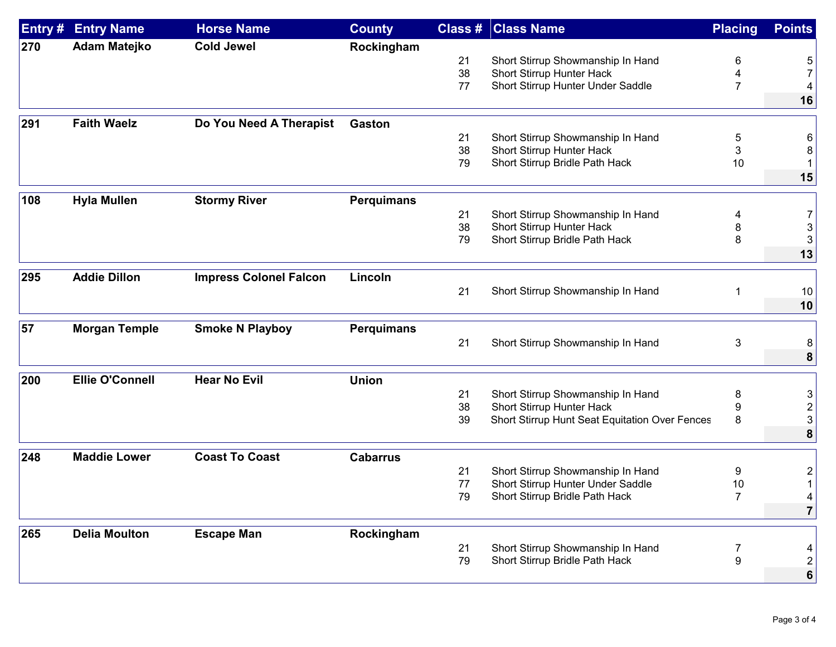| Entry# | <b>Entry Name</b>      | <b>Horse Name</b>             | <b>County</b>     |    | <b>Class # Class Name</b>                      | <b>Placing</b>   | <b>Points</b>           |
|--------|------------------------|-------------------------------|-------------------|----|------------------------------------------------|------------------|-------------------------|
| 270    | <b>Adam Matejko</b>    | <b>Cold Jewel</b>             | Rockingham        |    |                                                |                  |                         |
|        |                        |                               |                   | 21 | Short Stirrup Showmanship In Hand              | 6                | 5                       |
|        |                        |                               |                   | 38 | Short Stirrup Hunter Hack                      | 4                | 7                       |
|        |                        |                               |                   | 77 | Short Stirrup Hunter Under Saddle              | 7                |                         |
|        |                        |                               |                   |    |                                                |                  | 16                      |
| 291    | <b>Faith Waelz</b>     | Do You Need A Therapist       | <b>Gaston</b>     |    |                                                |                  |                         |
|        |                        |                               |                   | 21 | Short Stirrup Showmanship In Hand              | 5                | 6                       |
|        |                        |                               |                   | 38 | Short Stirrup Hunter Hack                      | 3                | 8                       |
|        |                        |                               |                   | 79 | Short Stirrup Bridle Path Hack                 | 10               |                         |
|        |                        |                               |                   |    |                                                |                  | 15                      |
| 108    | <b>Hyla Mullen</b>     | <b>Stormy River</b>           | <b>Perquimans</b> |    |                                                |                  |                         |
|        |                        |                               |                   | 21 | Short Stirrup Showmanship In Hand              | 4                | $\overline{7}$          |
|        |                        |                               |                   | 38 | Short Stirrup Hunter Hack                      | 8                | 3                       |
|        |                        |                               |                   | 79 | Short Stirrup Bridle Path Hack                 | 8                | 3                       |
|        |                        |                               |                   |    |                                                |                  | 13                      |
| 295    | <b>Addie Dillon</b>    | <b>Impress Colonel Falcon</b> | Lincoln           |    |                                                |                  |                         |
|        |                        |                               |                   | 21 | Short Stirrup Showmanship In Hand              | 1                | 10                      |
|        |                        |                               |                   |    |                                                |                  | 10                      |
| 57     | <b>Morgan Temple</b>   | <b>Smoke N Playboy</b>        | <b>Perquimans</b> |    |                                                |                  |                         |
|        |                        |                               |                   | 21 | Short Stirrup Showmanship In Hand              | 3                | 8                       |
|        |                        |                               |                   |    |                                                |                  | 8                       |
|        |                        |                               |                   |    |                                                |                  |                         |
| 200    | <b>Ellie O'Connell</b> | <b>Hear No Evil</b>           | Union             |    |                                                |                  |                         |
|        |                        |                               |                   | 21 | Short Stirrup Showmanship In Hand              | 8                | 3                       |
|        |                        |                               |                   | 38 | Short Stirrup Hunter Hack                      | 9                | 2                       |
|        |                        |                               |                   | 39 | Short Stirrup Hunt Seat Equitation Over Fences | 8                | 3                       |
|        |                        |                               |                   |    |                                                |                  | 8                       |
| 248    | <b>Maddie Lower</b>    | <b>Coast To Coast</b>         | <b>Cabarrus</b>   |    |                                                |                  |                         |
|        |                        |                               |                   | 21 | Short Stirrup Showmanship In Hand              | 9                | $\overline{\mathbf{c}}$ |
|        |                        |                               |                   | 77 | Short Stirrup Hunter Under Saddle              | 10               | $\mathbf 1$             |
|        |                        |                               |                   | 79 | Short Stirrup Bridle Path Hack                 | 7                | 4                       |
|        |                        |                               |                   |    |                                                |                  | $\overline{\mathbf{7}}$ |
| 265    | <b>Delia Moulton</b>   | <b>Escape Man</b>             | Rockingham        |    |                                                |                  |                         |
|        |                        |                               |                   | 21 | Short Stirrup Showmanship In Hand              | 7                |                         |
|        |                        |                               |                   | 79 | Short Stirrup Bridle Path Hack                 | $\boldsymbol{9}$ | $\overline{c}$          |
|        |                        |                               |                   |    |                                                |                  | $\bf 6$                 |
|        |                        |                               |                   |    |                                                |                  |                         |